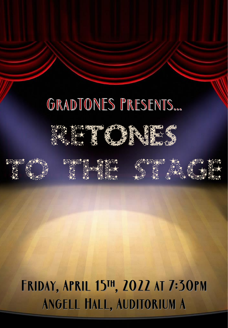## GRADTONES PRESENTS...















# **FRIDAY, APRIL 15TH, 2022 AT 7:30PM** ANGELL HALL, AUDITORIUM A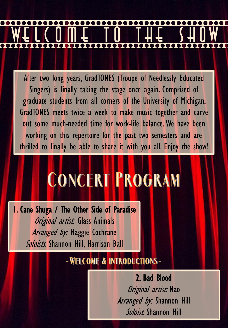After two long years, GradTONES (Troupe of Needlessly Educated Singers) is finally taking the stage once again. Comprised of graduate students from all corners of the University of Michigan, GradTONES meets twice a week to make music together and carve out some much-needed time for work-life balance. We have been working on this repertoire for the past two semesters and are thrilled to finally be able to share it with you all. Enjoy the show!

# **CONCERT PROGRAM**

1. Cane Shuga / The Other Side of Paradise Original artist: Glass Animals Arranged by: Maggie Cochrane Soloists. Shannon Hill, Harrison Ball

### -WELCOME & INTRODUCTIONS-

2. Bad Blood Original artist: Nao Arranged by: Shannon Hill Soloist. Shannon Hill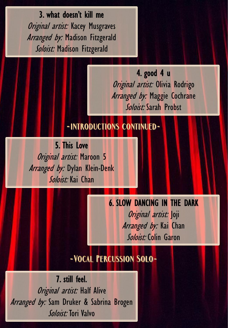3. what doesn't kill me Original artist: Kacey Musgraves Arranged by: Madison Fitzgerald Soloist: Madison Fitzgerald

> 4. good 4 u Original artist: Olivia Rodrigo Arranged by: Maggie Cochrane Soloist: Sarah Probst

### -INTRODUCTIONS CONTINUED-

5. This Love Original artist: Maroon 5 Arranged by: Dylan Klein-Denk Soloist: Kai Chan

> 6. SLOW DANCING IN THE DARK Original artist: Joji Arranged by: Kai Chan Soloist: Colin Garon

### -VOCAL PERCUSSION SOLO-

7. still feel. Original artist: Half Alive Arranged by: Sam Druker & Sabrina Brogen Soloist: Tori Valvo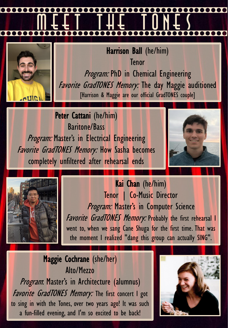

Harrison Ball (he/him) Tenor Program: PhD in Chemical Engineering **Favorite GradTONES Memory: The day Maggie auditioned** [Harrison & Maggie are our official GradTONES couple]

Peter Cattani (he/him) Baritone/Bass Program: Master's in Electrical Engineering Favorite GradTONES Memory: How Sasha becomes completely unfiltered after rehearsal ends





Kai Chan (he/him) Tenor | Co-Music Director Program: Master's in Computer Science Favorite GradTONES Memory: Probably the first rehearsal I went to, when we sang Cane Shuga for the first time. That was the moment I realized "dang this group can actually SING".

### Maggie Cochrane (she/her) Alto/Mezzo Program. Master's in Architecture (alumnus)

**Favorite GradTONES Memory:** The first concert I got to sing in with the Tones, over two years ago! It was such a fun-filled evening, and I'm so excited to be back!

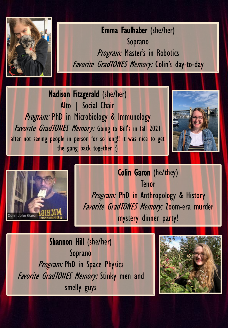

Emma Faulhaber (she/her) Soprano Program: Master's in Robotics Favorite GradTONES Memory: Colin's day-to-day

Madison Fitzgerald (she/her) Alto | Social Chair Program: PhD in Microbiology & Immunology Favorite GradTONES Memory: Going to Bill's in fall 2021 after not seeing people in person for so long!! it was nice to get the gang back together :)





Colin Garon (he/they) **Tenor** Program: PhD in Anthropology & History Favorite GradTONES Memory: Zoom-era murder mystery dinner party!

Shannon Hill (she/her) Soprano **Program: PhD in Space Physics** Favorite GradTONES Memory: Stinky men and smelly guys

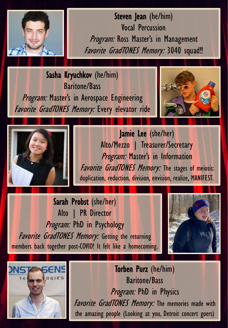

Steven Jean (he/him) Vocal Percussion Program: Ross Master's in Management Favorite GradTONES Memory: 3040 squad!!

Sasha Kryuchkov (he/him) Baritone/Bass Program: Master's in Aerospace Engineering **Favorite GradTONES Memory: Every elevator ride** 





Jamie Lee (she/her) Alto/Mezzo | Treasurer/Secretary Program: Master's in Information Favorite GradTONES Memory: The stages of meiosis: duplication, reduction, division, envision, realize, MANIFEST.

Sarah Probst (she/her) Alto | PR Director Program: PhD in Psychology Favorite GradTONES Memory: Getting the returning members back together post-COVID! It felt like a homecoming.





Torben Purz (he/him) Baritone/Bass Program: PhD in Physics Favorite GradTONES Memory: The memories made with the amazing people (Looking at you, Detroit concert goers)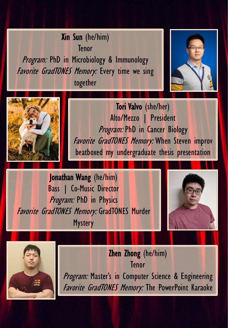Xin Sun (he/him) Tenor Program: PhD in Microbiology & Immunology Favorite GradTONES Memory: Every time we sing together





Tori Valvo (she/her) Alto/Mezzo | President Program: PhD in Cancer Biology Favorite GradTONES Memory: When Steven improv beatboxed my undergraduate thesis presentation

Jonathan Wang (he/him) Bass | Co-Music Director Program: PhD in Physics Favorite GradTONES Memory: GradTONES Murder **Mystery** 





Zhen Zhong (he/him) Tenor Program: Master's in Computer Science & Engineering Favorite GradTONES Memory: The PowerPoint Karaoke